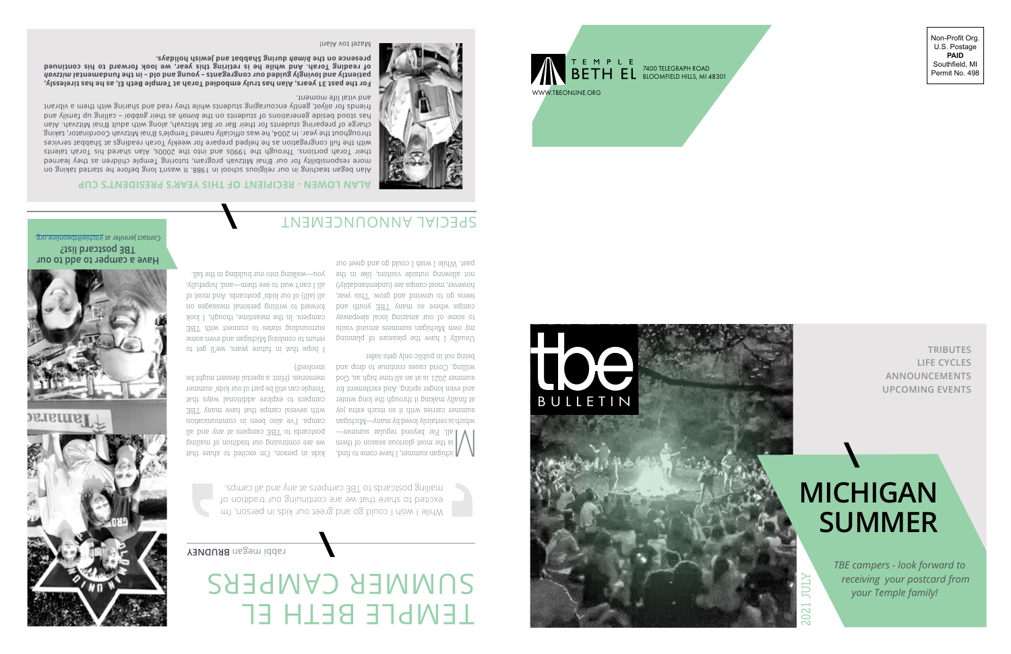

Non-Profit Org. U.S. Postage **PAID** Southfield, MI Permit No. 498



**TRIBUTES LIFE CYCLES ANNOUNCEMENTS UPCOMING EVENTS**

# **MICHIGAN SUMMER**

*TBE campers - look forward to receiving your postcard from your Temple family!*

2021 JULY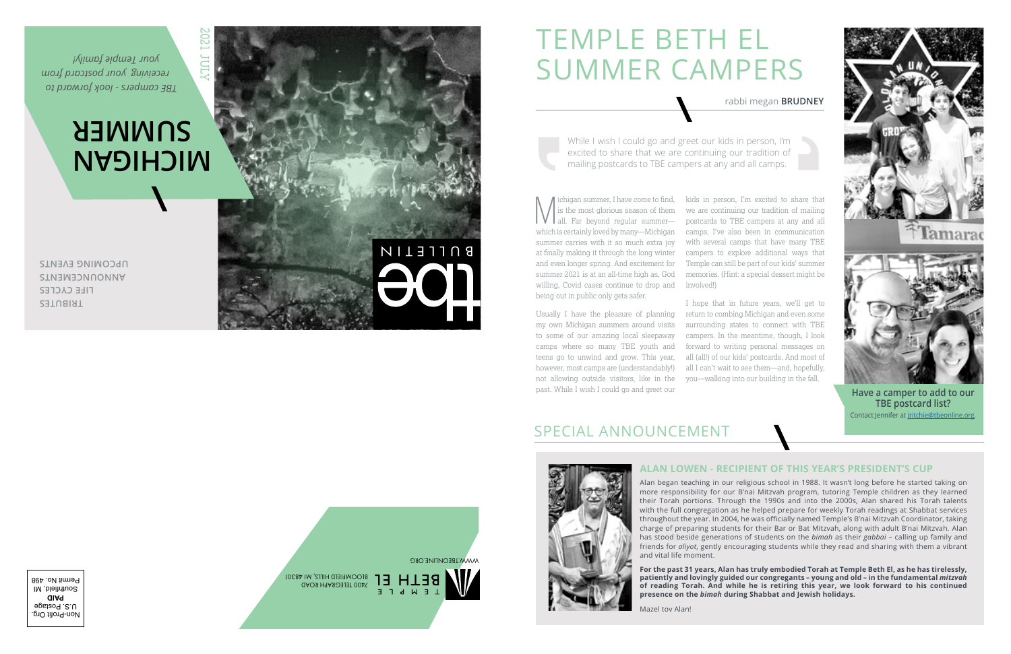# TEMPLE BETH EL SUMMER CAMPERS

rabbi megan **BRUDNEY**

While I wish I could go and greet our kids in person, I'm excited to share that we are continuing our tradition of mailing postcards to TBE campers at any and all camps.

ichigan summer, I have come to find,<br>is the most glorious season of them<br>all. Far beyond regular summer which is certainly loved by many—Michigan summer carries with it so much extra joy at finally making it through the long winter and even longer spring. And excitement for summer 2021 is at an all-time high as, God willing, Covid cases continue to drop and being out in public only gets safer.

Usually I have the pleasure of planning my own Michigan summers around visits to some of our amazing local sleepaway camps where so many TBE youth and teens go to unwind and grow. This year, however, most camps are (understandably!) not allowing outside visitors, like in the past. While I wish I could go and greet our

kids in person, I'm excited to share that we are continuing our tradition of mailing postcards to TBE campers at any and all camps. I've also been in communication with several camps that have many TBE campers to explore additional ways that Temple can still be part of our kids' summer memories. (Hint: a special dessert might be involved!)

I hope that in future years, we'll get to return to combing Michigan and even some surrounding states to connect with TBE campers. In the meantime, though, I look forward to writing personal messages on all (all!) of our kids' postcards. And most of all I can't wait to see them—and, hopefully, you—walking into our building in the fall.



**Have a camper to add to our TBE postcard list?**  Contact Jennifer at [jritchie@tbeonline.org](mailto:jritchie%40tbeonline.org?subject=).

## SPECIAL ANNOUNCEMENT



### **ALAN LOWEN - RECIPIENT OF THIS YEAR'S PRESIDENT'S CUP**

Alan began teaching in our religious school in 1988. It wasn't long before he started taking on more responsibility for our B'nai Mitzvah program, tutoring Temple children as they learned their Torah portions. Through the 1990s and into the 2000s, Alan shared his Torah talents with the full congregation as he helped prepare for weekly Torah readings at Shabbat services throughout the year. In 2004, he was officially named Temple's B'nai Mitzvah Coordinator, taking charge of preparing students for their Bar or Bat Mitzvah, along with adult B'nai Mitzvah. Alan has stood beside generations of students on the *bimah* as their *gabbai* – calling up family and friends for *aliyot*, gently encouraging students while they read and sharing with them a vibrant and vital life moment.

**For the past 31 years, Alan has truly embodied Torah at Temple Beth El, as he has tirelessly, patiently and lovingly guided our congregants – young and old – in the fundamental** *mitzvah*  **of reading Torah. And while he is retiring this year, we look forward to his continued presence on the** *bimah* **during Shabbat and Jewish holidays.**

Mazel tov Alan!